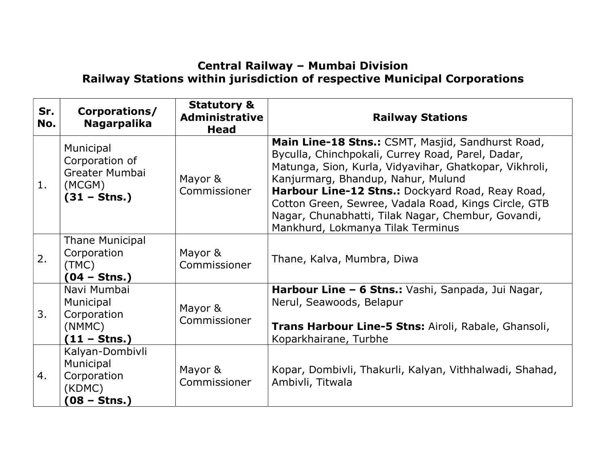## Central Railway – Mumbai Division Railway Stations within jurisdiction of respective Municipal Corporations

| Sr.<br>No. | Corporations/<br><b>Nagarpalika</b>                                              | <b>Statutory &amp;</b><br><b>Administrative</b><br>Head | <b>Railway Stations</b>                                                                                                                                                                                                                                                                                                                                                                                       |
|------------|----------------------------------------------------------------------------------|---------------------------------------------------------|---------------------------------------------------------------------------------------------------------------------------------------------------------------------------------------------------------------------------------------------------------------------------------------------------------------------------------------------------------------------------------------------------------------|
| 1.         | Municipal<br>Corporation of<br>Greater Mumbai<br>(MCGM)<br>$(31 - \text{Stns.})$ | Mayor &<br>Commissioner                                 | Main Line-18 Stns.: CSMT, Masjid, Sandhurst Road,<br>Byculla, Chinchpokali, Currey Road, Parel, Dadar,<br>Matunga, Sion, Kurla, Vidyavihar, Ghatkopar, Vikhroli,<br>Kanjurmarg, Bhandup, Nahur, Mulund<br>Harbour Line-12 Stns.: Dockyard Road, Reay Road,<br>Cotton Green, Sewree, Vadala Road, Kings Circle, GTB<br>Nagar, Chunabhatti, Tilak Nagar, Chembur, Govandi,<br>Mankhurd, Lokmanya Tilak Terminus |
| 2.         | Thane Municipal<br>Corporation<br>(TMC)<br>$(04 - \text{Stns.})$                 | Mayor &<br>Commissioner                                 | Thane, Kalva, Mumbra, Diwa                                                                                                                                                                                                                                                                                                                                                                                    |
| 3.         | Navi Mumbai<br>Municipal<br>Corporation<br>(NMMC)<br>(11 – Stns.)                | Mayor &<br>Commissioner                                 | Harbour Line - 6 Stns.: Vashi, Sanpada, Jui Nagar,<br>Nerul, Seawoods, Belapur<br>Trans Harbour Line-5 Stns: Airoli, Rabale, Ghansoli,<br>Koparkhairane, Turbhe                                                                                                                                                                                                                                               |
| 4.         | Kalyan-Dombivli<br>Municipal<br>Corporation<br>(KDMC)<br>(08 – Stns.)            | Mayor &<br>Commissioner                                 | Kopar, Dombivli, Thakurli, Kalyan, Vithhalwadi, Shahad,<br>Ambivli, Titwala                                                                                                                                                                                                                                                                                                                                   |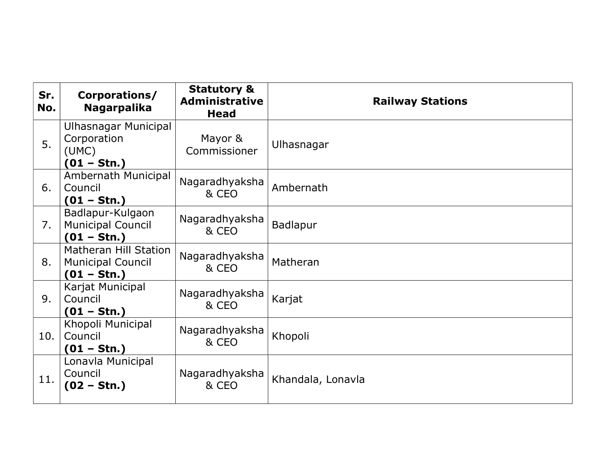| Sr.<br>No. | Corporations/<br><b>Nagarpalika</b>                                | <b>Statutory &amp;</b><br><b>Administrative</b><br>Head | <b>Railway Stations</b> |
|------------|--------------------------------------------------------------------|---------------------------------------------------------|-------------------------|
| 5.         | Ulhasnagar Municipal<br>Corporation<br>(UMC)<br>$(01 - Stn.)$      | Mayor &<br>Commissioner                                 | Ulhasnagar              |
| 6.         | Ambernath Municipal<br>Council<br>$(01 - Stn.)$                    | Nagaradhyaksha<br>& CEO                                 | Ambernath               |
| 7.         | Badlapur-Kulgaon<br><b>Municipal Council</b><br>$(01 - Stn.)$      | Nagaradhyaksha<br>& CEO                                 | Badlapur                |
| 8.         | Matheran Hill Station<br><b>Municipal Council</b><br>$(01 - Stn.)$ | Nagaradhyaksha<br>& CEO                                 | Matheran                |
| 9.         | Karjat Municipal<br>Council<br>$(01 - Stn.)$                       | Nagaradhyaksha<br>& CEO                                 | Karjat                  |
| 10.        | Khopoli Municipal<br>Council<br>$(01 - Stn.)$                      | Nagaradhyaksha<br>& CEO                                 | Khopoli                 |
| 11.        | Lonavla Municipal<br>Council<br>(02 – Stn.)                        | Nagaradhyaksha<br>& CEO                                 | Khandala, Lonavla       |